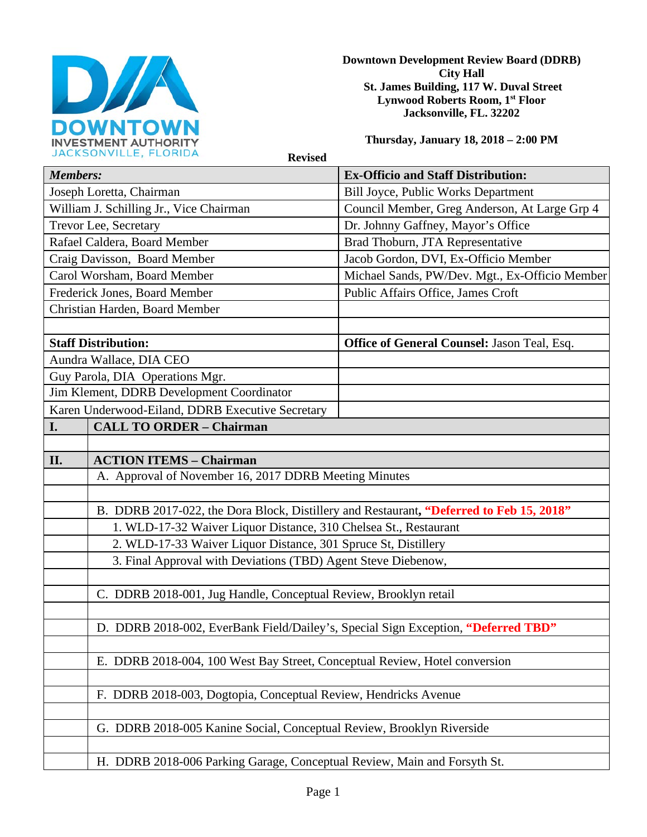

**Downtown Development Review Board (DDRB) City Hall St. James Building, 117 W. Duval Street Lynwood Roberts Room, 1st Floor Jacksonville, FL. 32202** 

**Thursday, January 18, 2018 – 2:00 PM**

**Revised** 

| <b>Members:</b>                                  |                                                                                         | <b>Ex-Officio and Staff Distribution:</b>          |
|--------------------------------------------------|-----------------------------------------------------------------------------------------|----------------------------------------------------|
| Joseph Loretta, Chairman                         |                                                                                         | <b>Bill Joyce, Public Works Department</b>         |
| William J. Schilling Jr., Vice Chairman          |                                                                                         | Council Member, Greg Anderson, At Large Grp 4      |
| Trevor Lee, Secretary                            |                                                                                         | Dr. Johnny Gaffney, Mayor's Office                 |
| Rafael Caldera, Board Member                     |                                                                                         | Brad Thoburn, JTA Representative                   |
| Craig Davisson, Board Member                     |                                                                                         | Jacob Gordon, DVI, Ex-Officio Member               |
| Carol Worsham, Board Member                      |                                                                                         | Michael Sands, PW/Dev. Mgt., Ex-Officio Member     |
| Frederick Jones, Board Member                    |                                                                                         | Public Affairs Office, James Croft                 |
| Christian Harden, Board Member                   |                                                                                         |                                                    |
|                                                  |                                                                                         |                                                    |
| <b>Staff Distribution:</b>                       |                                                                                         | <b>Office of General Counsel: Jason Teal, Esq.</b> |
| Aundra Wallace, DIA CEO                          |                                                                                         |                                                    |
| Guy Parola, DIA Operations Mgr.                  |                                                                                         |                                                    |
| Jim Klement, DDRB Development Coordinator        |                                                                                         |                                                    |
| Karen Underwood-Eiland, DDRB Executive Secretary |                                                                                         |                                                    |
| I.                                               | <b>CALL TO ORDER - Chairman</b>                                                         |                                                    |
|                                                  |                                                                                         |                                                    |
| II.                                              | <b>ACTION ITEMS - Chairman</b>                                                          |                                                    |
|                                                  | A. Approval of November 16, 2017 DDRB Meeting Minutes                                   |                                                    |
|                                                  |                                                                                         |                                                    |
|                                                  | B. DDRB 2017-022, the Dora Block, Distillery and Restaurant, "Deferred to Feb 15, 2018" |                                                    |
|                                                  | 1. WLD-17-32 Waiver Liquor Distance, 310 Chelsea St., Restaurant                        |                                                    |
|                                                  | 2. WLD-17-33 Waiver Liquor Distance, 301 Spruce St, Distillery                          |                                                    |
|                                                  | 3. Final Approval with Deviations (TBD) Agent Steve Diebenow,                           |                                                    |
|                                                  |                                                                                         |                                                    |
|                                                  | C. DDRB 2018-001, Jug Handle, Conceptual Review, Brooklyn retail                        |                                                    |
|                                                  |                                                                                         |                                                    |
|                                                  | D. DDRB 2018-002, EverBank Field/Dailey's, Special Sign Exception, "Deferred TBD"       |                                                    |
|                                                  |                                                                                         |                                                    |
|                                                  | E. DDRB 2018-004, 100 West Bay Street, Conceptual Review, Hotel conversion              |                                                    |
|                                                  |                                                                                         |                                                    |
|                                                  | F. DDRB 2018-003, Dogtopia, Conceptual Review, Hendricks Avenue                         |                                                    |
|                                                  |                                                                                         |                                                    |
|                                                  | G. DDRB 2018-005 Kanine Social, Conceptual Review, Brooklyn Riverside                   |                                                    |
|                                                  |                                                                                         |                                                    |
|                                                  | H. DDRB 2018-006 Parking Garage, Conceptual Review, Main and Forsyth St.                |                                                    |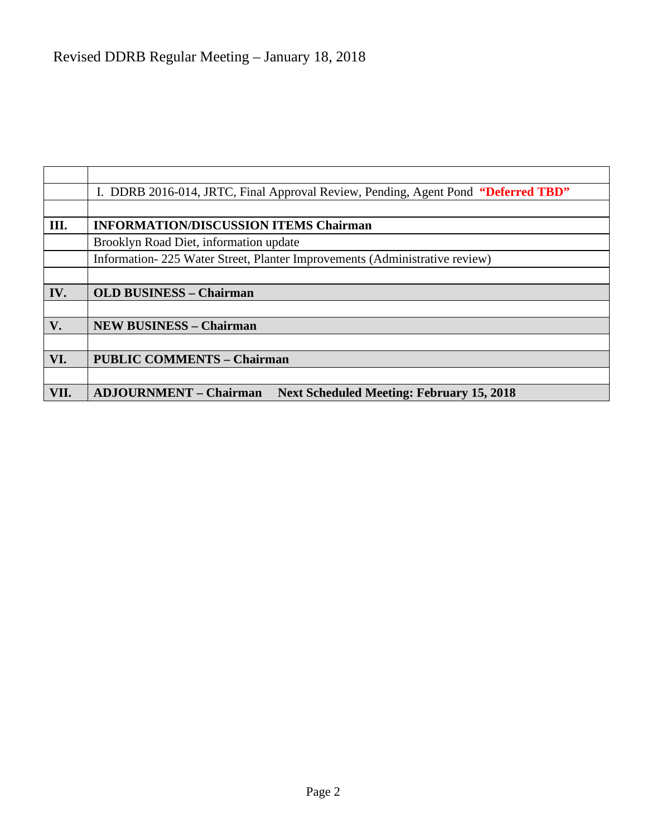|               | I. DDRB 2016-014, JRTC, Final Approval Review, Pending, Agent Pond "Deferred TBD" |  |
|---------------|-----------------------------------------------------------------------------------|--|
|               |                                                                                   |  |
| III.          | <b>INFORMATION/DISCUSSION ITEMS Chairman</b>                                      |  |
|               | Brooklyn Road Diet, information update                                            |  |
|               | Information-225 Water Street, Planter Improvements (Administrative review)        |  |
|               |                                                                                   |  |
| IV.           | <b>OLD BUSINESS - Chairman</b>                                                    |  |
|               |                                                                                   |  |
| $V_{\bullet}$ | <b>NEW BUSINESS - Chairman</b>                                                    |  |
|               |                                                                                   |  |
| VI.           | <b>PUBLIC COMMENTS - Chairman</b>                                                 |  |
|               |                                                                                   |  |
| VII.          | <b>ADJOURNMENT - Chairman</b><br><b>Next Scheduled Meeting: February 15, 2018</b> |  |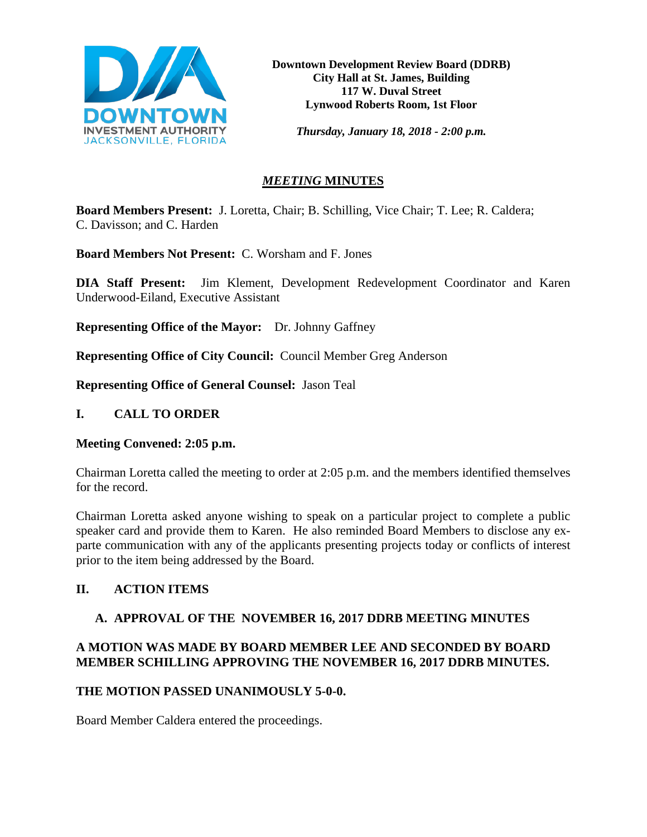

*Thursday, January 18, 2018 - 2:00 p.m.*

# *MEETING* **MINUTES**

**Board Members Present:** J. Loretta, Chair; B. Schilling, Vice Chair; T. Lee; R. Caldera; C. Davisson; and C. Harden

**Board Members Not Present:** C. Worsham and F. Jones

**DIA Staff Present:** Jim Klement, Development Redevelopment Coordinator and Karen Underwood-Eiland, Executive Assistant

**Representing Office of the Mayor:** Dr. Johnny Gaffney

**Representing Office of City Council:** Council Member Greg Anderson

**Representing Office of General Counsel:** Jason Teal

#### **I. CALL TO ORDER**

#### **Meeting Convened: 2:05 p.m.**

Chairman Loretta called the meeting to order at 2:05 p.m. and the members identified themselves for the record.

Chairman Loretta asked anyone wishing to speak on a particular project to complete a public speaker card and provide them to Karen. He also reminded Board Members to disclose any exparte communication with any of the applicants presenting projects today or conflicts of interest prior to the item being addressed by the Board.

## **II. ACTION ITEMS**

## **A. APPROVAL OF THE NOVEMBER 16, 2017 DDRB MEETING MINUTES**

# **A MOTION WAS MADE BY BOARD MEMBER LEE AND SECONDED BY BOARD MEMBER SCHILLING APPROVING THE NOVEMBER 16, 2017 DDRB MINUTES.**

## **THE MOTION PASSED UNANIMOUSLY 5-0-0.**

Board Member Caldera entered the proceedings.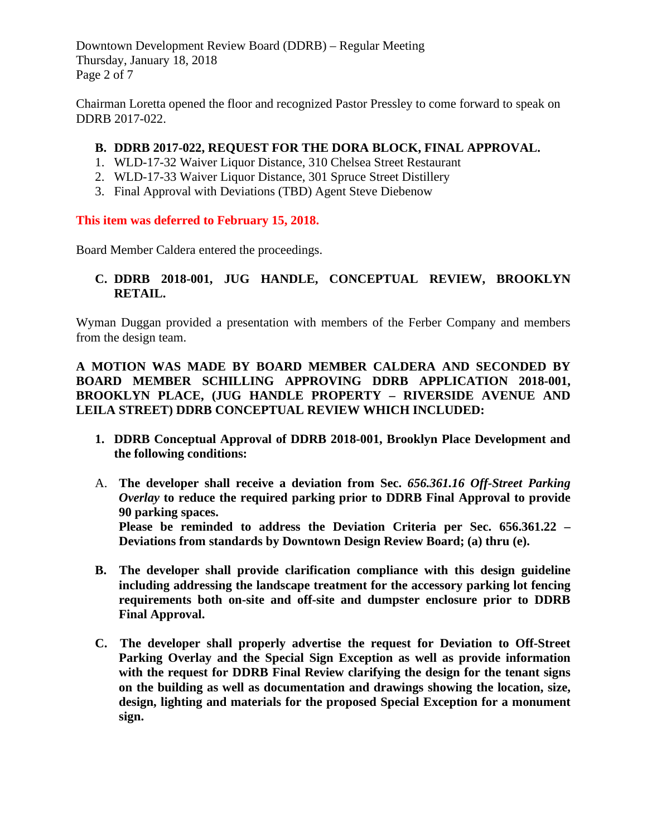Downtown Development Review Board (DDRB) – Regular Meeting Thursday, January 18, 2018 Page 2 of 7

Chairman Loretta opened the floor and recognized Pastor Pressley to come forward to speak on DDRB 2017-022.

#### **B. DDRB 2017-022, REQUEST FOR THE DORA BLOCK, FINAL APPROVAL.**

- 1. WLD-17-32 Waiver Liquor Distance, 310 Chelsea Street Restaurant
- 2. WLD-17-33 Waiver Liquor Distance, 301 Spruce Street Distillery
- 3. Final Approval with Deviations (TBD) Agent Steve Diebenow

#### **This item was deferred to February 15, 2018.**

Board Member Caldera entered the proceedings.

## **C. DDRB 2018-001, JUG HANDLE, CONCEPTUAL REVIEW, BROOKLYN RETAIL.**

Wyman Duggan provided a presentation with members of the Ferber Company and members from the design team.

**A MOTION WAS MADE BY BOARD MEMBER CALDERA AND SECONDED BY BOARD MEMBER SCHILLING APPROVING DDRB APPLICATION 2018-001, BROOKLYN PLACE, (JUG HANDLE PROPERTY – RIVERSIDE AVENUE AND LEILA STREET) DDRB CONCEPTUAL REVIEW WHICH INCLUDED:** 

- **1. DDRB Conceptual Approval of DDRB 2018-001, Brooklyn Place Development and the following conditions:**
- A. **The developer shall receive a deviation from Sec.** *656.361.16 Off-Street Parking Overlay* **to reduce the required parking prior to DDRB Final Approval to provide 90 parking spaces. Please be reminded to address the Deviation Criteria per Sec. 656.361.22 – Deviations from standards by Downtown Design Review Board; (a) thru (e).**
- **B. The developer shall provide clarification compliance with this design guideline including addressing the landscape treatment for the accessory parking lot fencing requirements both on-site and off-site and dumpster enclosure prior to DDRB Final Approval.**
- **C. The developer shall properly advertise the request for Deviation to Off-Street Parking Overlay and the Special Sign Exception as well as provide information with the request for DDRB Final Review clarifying the design for the tenant signs on the building as well as documentation and drawings showing the location, size, design, lighting and materials for the proposed Special Exception for a monument sign.**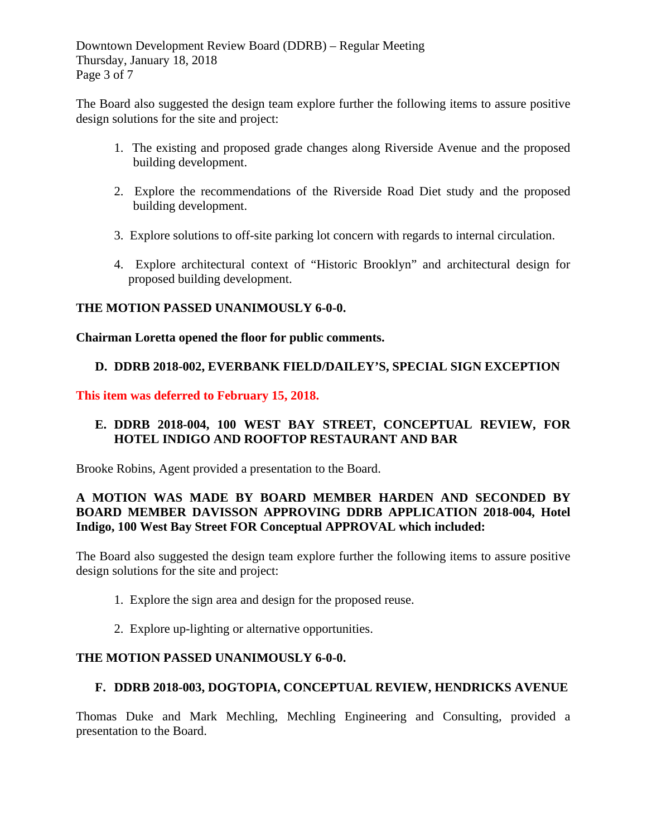Downtown Development Review Board (DDRB) – Regular Meeting Thursday, January 18, 2018 Page 3 of 7

The Board also suggested the design team explore further the following items to assure positive design solutions for the site and project:

- 1. The existing and proposed grade changes along Riverside Avenue and the proposed building development.
- 2. Explore the recommendations of the Riverside Road Diet study and the proposed building development.
- 3. Explore solutions to off-site parking lot concern with regards to internal circulation.
- 4. Explore architectural context of "Historic Brooklyn" and architectural design for proposed building development.

## **THE MOTION PASSED UNANIMOUSLY 6-0-0.**

#### **Chairman Loretta opened the floor for public comments.**

#### **D. DDRB 2018-002, EVERBANK FIELD/DAILEY'S, SPECIAL SIGN EXCEPTION**

#### **This item was deferred to February 15, 2018.**

## **E. DDRB 2018-004, 100 WEST BAY STREET, CONCEPTUAL REVIEW, FOR HOTEL INDIGO AND ROOFTOP RESTAURANT AND BAR**

Brooke Robins, Agent provided a presentation to the Board.

## **A MOTION WAS MADE BY BOARD MEMBER HARDEN AND SECONDED BY BOARD MEMBER DAVISSON APPROVING DDRB APPLICATION 2018-004, Hotel Indigo, 100 West Bay Street FOR Conceptual APPROVAL which included:**

The Board also suggested the design team explore further the following items to assure positive design solutions for the site and project:

- 1. Explore the sign area and design for the proposed reuse.
- 2. Explore up-lighting or alternative opportunities.

#### **THE MOTION PASSED UNANIMOUSLY 6-0-0.**

## **F. DDRB 2018-003, DOGTOPIA, CONCEPTUAL REVIEW, HENDRICKS AVENUE**

Thomas Duke and Mark Mechling, Mechling Engineering and Consulting, provided a presentation to the Board.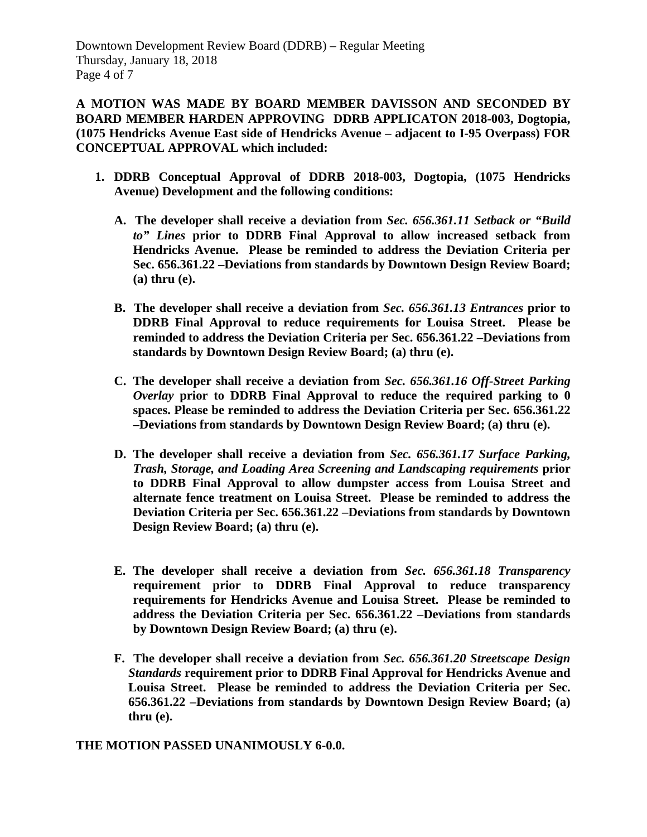**A MOTION WAS MADE BY BOARD MEMBER DAVISSON AND SECONDED BY BOARD MEMBER HARDEN APPROVING DDRB APPLICATON 2018-003, Dogtopia, (1075 Hendricks Avenue East side of Hendricks Avenue – adjacent to I-95 Overpass) FOR CONCEPTUAL APPROVAL which included:**

- **1. DDRB Conceptual Approval of DDRB 2018-003, Dogtopia, (1075 Hendricks Avenue) Development and the following conditions:**
	- **A. The developer shall receive a deviation from** *Sec. 656.361.11 Setback or "Build to" Lines* **prior to DDRB Final Approval to allow increased setback from Hendricks Avenue. Please be reminded to address the Deviation Criteria per Sec. 656.361.22 –Deviations from standards by Downtown Design Review Board; (a) thru (e).**
	- **B. The developer shall receive a deviation from** *Sec. 656.361.13 Entrances* **prior to DDRB Final Approval to reduce requirements for Louisa Street. Please be reminded to address the Deviation Criteria per Sec. 656.361.22 –Deviations from standards by Downtown Design Review Board; (a) thru (e).**
	- **C. The developer shall receive a deviation from** *Sec. 656.361.16 Off-Street Parking Overlay* **prior to DDRB Final Approval to reduce the required parking to 0 spaces. Please be reminded to address the Deviation Criteria per Sec. 656.361.22 –Deviations from standards by Downtown Design Review Board; (a) thru (e).**
	- **D. The developer shall receive a deviation from** *Sec. 656.361.17 Surface Parking, Trash, Storage, and Loading Area Screening and Landscaping requirements* **prior to DDRB Final Approval to allow dumpster access from Louisa Street and alternate fence treatment on Louisa Street. Please be reminded to address the Deviation Criteria per Sec. 656.361.22 –Deviations from standards by Downtown Design Review Board; (a) thru (e).**
	- **E. The developer shall receive a deviation from** *Sec. 656.361.18 Transparency*  **requirement prior to DDRB Final Approval to reduce transparency requirements for Hendricks Avenue and Louisa Street. Please be reminded to address the Deviation Criteria per Sec. 656.361.22 –Deviations from standards by Downtown Design Review Board; (a) thru (e).**
	- **F. The developer shall receive a deviation from** *Sec. 656.361.20 Streetscape Design Standards* **requirement prior to DDRB Final Approval for Hendricks Avenue and Louisa Street. Please be reminded to address the Deviation Criteria per Sec. 656.361.22 –Deviations from standards by Downtown Design Review Board; (a) thru (e).**

#### **THE MOTION PASSED UNANIMOUSLY 6-0.0.**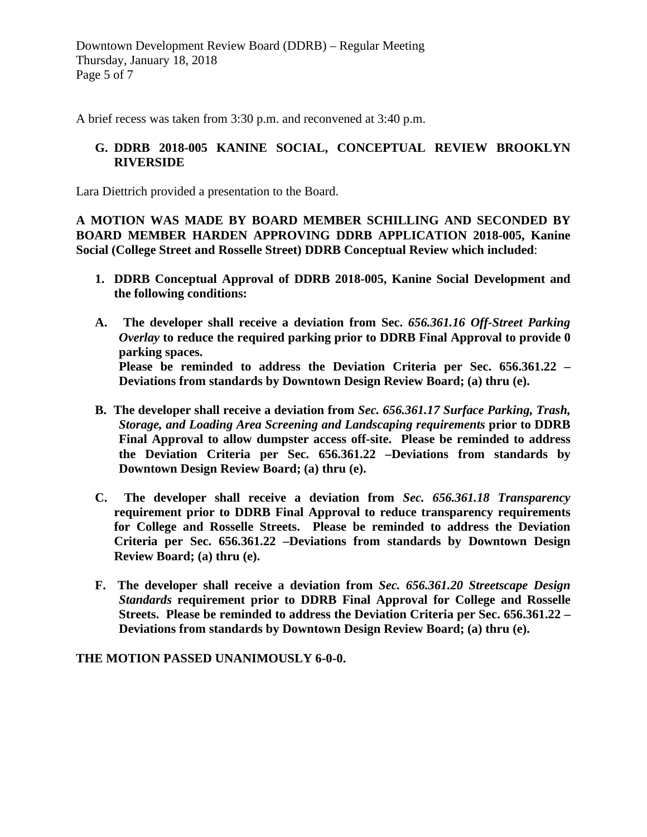A brief recess was taken from 3:30 p.m. and reconvened at 3:40 p.m.

#### **G. DDRB 2018-005 KANINE SOCIAL, CONCEPTUAL REVIEW BROOKLYN RIVERSIDE**

Lara Diettrich provided a presentation to the Board.

**A MOTION WAS MADE BY BOARD MEMBER SCHILLING AND SECONDED BY BOARD MEMBER HARDEN APPROVING DDRB APPLICATION 2018-005, Kanine Social (College Street and Rosselle Street) DDRB Conceptual Review which included**:

- **1. DDRB Conceptual Approval of DDRB 2018-005, Kanine Social Development and the following conditions:**
- **A. The developer shall receive a deviation from Sec.** *656.361.16 Off-Street Parking Overlay* **to reduce the required parking prior to DDRB Final Approval to provide 0 parking spaces. Please be reminded to address the Deviation Criteria per Sec. 656.361.22 – Deviations from standards by Downtown Design Review Board; (a) thru (e).**
- **B. The developer shall receive a deviation from** *Sec. 656.361.17 Surface Parking, Trash, Storage, and Loading Area Screening and Landscaping requirements* **prior to DDRB Final Approval to allow dumpster access off-site. Please be reminded to address the Deviation Criteria per Sec. 656.361.22 –Deviations from standards by Downtown Design Review Board; (a) thru (e).**
- **C. The developer shall receive a deviation from** *Sec. 656.361.18 Transparency*  **requirement prior to DDRB Final Approval to reduce transparency requirements for College and Rosselle Streets. Please be reminded to address the Deviation Criteria per Sec. 656.361.22 –Deviations from standards by Downtown Design Review Board; (a) thru (e).**
- **F. The developer shall receive a deviation from** *Sec. 656.361.20 Streetscape Design Standards* **requirement prior to DDRB Final Approval for College and Rosselle Streets. Please be reminded to address the Deviation Criteria per Sec. 656.361.22 – Deviations from standards by Downtown Design Review Board; (a) thru (e).**

**THE MOTION PASSED UNANIMOUSLY 6-0-0.**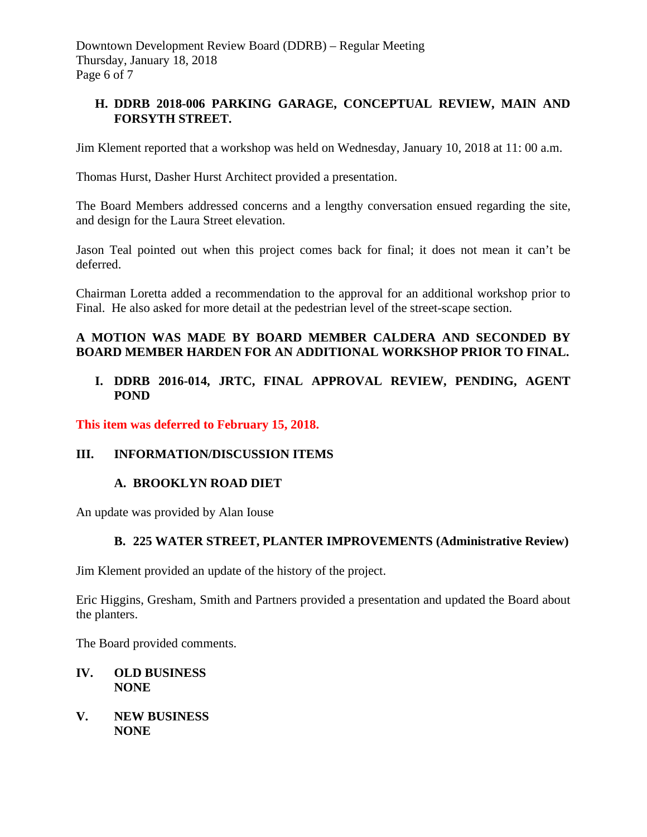Downtown Development Review Board (DDRB) – Regular Meeting Thursday, January 18, 2018 Page 6 of 7

## **H. DDRB 2018-006 PARKING GARAGE, CONCEPTUAL REVIEW, MAIN AND FORSYTH STREET.**

Jim Klement reported that a workshop was held on Wednesday, January 10, 2018 at 11: 00 a.m.

Thomas Hurst, Dasher Hurst Architect provided a presentation.

The Board Members addressed concerns and a lengthy conversation ensued regarding the site, and design for the Laura Street elevation.

Jason Teal pointed out when this project comes back for final; it does not mean it can't be deferred.

Chairman Loretta added a recommendation to the approval for an additional workshop prior to Final. He also asked for more detail at the pedestrian level of the street-scape section.

## **A MOTION WAS MADE BY BOARD MEMBER CALDERA AND SECONDED BY BOARD MEMBER HARDEN FOR AN ADDITIONAL WORKSHOP PRIOR TO FINAL.**

## **I. DDRB 2016-014, JRTC, FINAL APPROVAL REVIEW, PENDING, AGENT POND**

**This item was deferred to February 15, 2018.** 

## **III. INFORMATION/DISCUSSION ITEMS**

## **A. BROOKLYN ROAD DIET**

An update was provided by Alan Iouse

## **B. 225 WATER STREET, PLANTER IMPROVEMENTS (Administrative Review)**

Jim Klement provided an update of the history of the project.

Eric Higgins, Gresham, Smith and Partners provided a presentation and updated the Board about the planters.

The Board provided comments.

#### **IV. OLD BUSINESS NONE**

**V. NEW BUSINESS NONE**